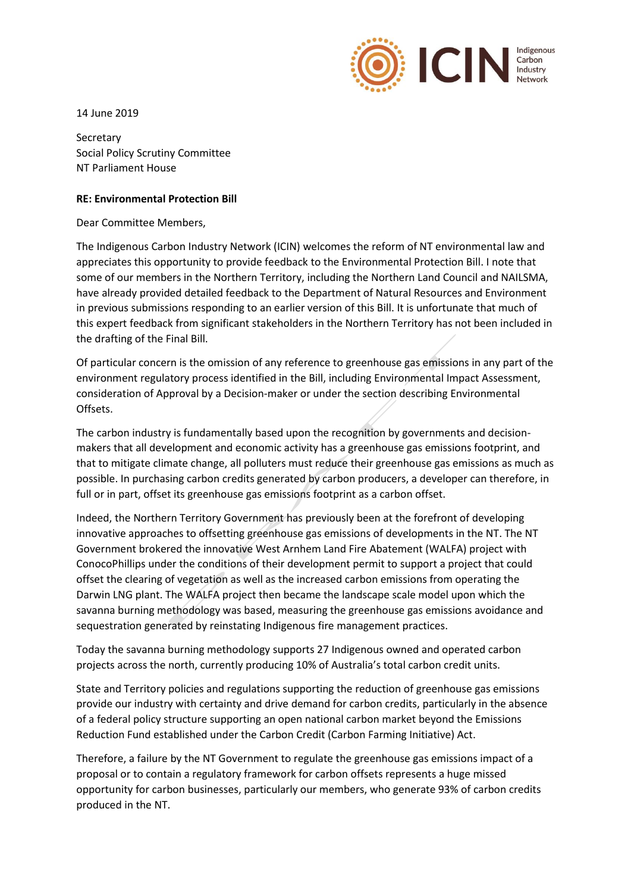

14 June 2019

**Secretary** Social Policy Scrutiny Committee NT Parliament House

## **RE: Environmental Protection Bill**

Dear Committee Members,

The Indigenous Carbon Industry Network (ICIN) welcomes the reform of NT environmental law and appreciates this opportunity to provide feedback to the Environmental Protection Bill. I note that some of our members in the Northern Territory, including the Northern Land Council and NAILSMA, have already provided detailed feedback to the Department of Natural Resources and Environment in previous submissions responding to an earlier version of this Bill. It is unfortunate that much of this expert feedback from significant stakeholders in the Northern Territory has not been included in the drafting of the Final Bill.

Of particular concern is the omission of any reference to greenhouse gas emissions in any part of the environment regulatory process identified in the Bill, including Environmental Impact Assessment, consideration of Approval by a Decision-maker or under the section describing Environmental Offsets.

The carbon industry is fundamentally based upon the recognition by governments and decisionmakers that all development and economic activity has a greenhouse gas emissions footprint, and that to mitigate climate change, all polluters must reduce their greenhouse gas emissions as much as possible. In purchasing carbon credits generated by carbon producers, a developer can therefore, in full or in part, offset its greenhouse gas emissions footprint as a carbon offset.

Indeed, the Northern Territory Government has previously been at the forefront of developing innovative approaches to offsetting greenhouse gas emissions of developments in the NT. The NT Government brokered the innovative West Arnhem Land Fire Abatement (WALFA) project with ConocoPhillips under the conditions of their development permit to support a project that could offset the clearing of vegetation as well as the increased carbon emissions from operating the Darwin LNG plant. The WALFA project then became the landscape scale model upon which the savanna burning methodology was based, measuring the greenhouse gas emissions avoidance and sequestration generated by reinstating Indigenous fire management practices.

Today the savanna burning methodology supports 27 Indigenous owned and operated carbon projects across the north, currently producing 10% of Australia's total carbon credit units.

State and Territory policies and regulations supporting the reduction of greenhouse gas emissions provide our industry with certainty and drive demand for carbon credits, particularly in the absence of a federal policy structure supporting an open national carbon market beyond the Emissions Reduction Fund established under the Carbon Credit (Carbon Farming Initiative) Act.

Therefore, a failure by the NT Government to regulate the greenhouse gas emissions impact of a proposal or to contain a regulatory framework for carbon offsets represents a huge missed opportunity for carbon businesses, particularly our members, who generate 93% of carbon credits produced in the NT.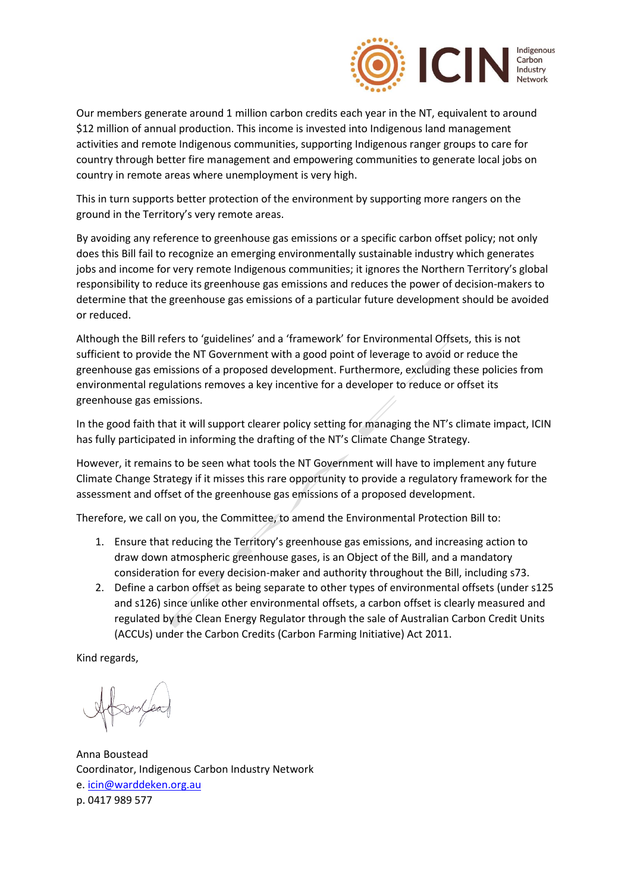

Our members generate around 1 million carbon credits each year in the NT, equivalent to around \$12 million of annual production. This income is invested into Indigenous land management activities and remote Indigenous communities, supporting Indigenous ranger groups to care for country through better fire management and empowering communities to generate local jobs on country in remote areas where unemployment is very high.

This in turn supports better protection of the environment by supporting more rangers on the ground in the Territory's very remote areas.

By avoiding any reference to greenhouse gas emissions or a specific carbon offset policy; not only does this Bill fail to recognize an emerging environmentally sustainable industry which generates jobs and income for very remote Indigenous communities; it ignores the Northern Territory's global responsibility to reduce its greenhouse gas emissions and reduces the power of decision-makers to determine that the greenhouse gas emissions of a particular future development should be avoided or reduced.

Although the Bill refers to 'guidelines' and a 'framework' for Environmental Offsets, this is not sufficient to provide the NT Government with a good point of leverage to avoid or reduce the greenhouse gas emissions of a proposed development. Furthermore, excluding these policies from environmental regulations removes a key incentive for a developer to reduce or offset its greenhouse gas emissions.

In the good faith that it will support clearer policy setting for managing the NT's climate impact, ICIN has fully participated in informing the drafting of the NT's Climate Change Strategy.

However, it remains to be seen what tools the NT Government will have to implement any future Climate Change Strategy if it misses this rare opportunity to provide a regulatory framework for the assessment and offset of the greenhouse gas emissions of a proposed development.

Therefore, we call on you, the Committee, to amend the Environmental Protection Bill to:

- 1. Ensure that reducing the Territory's greenhouse gas emissions, and increasing action to draw down atmospheric greenhouse gases, is an Object of the Bill, and a mandatory consideration for every decision-maker and authority throughout the Bill, including s73.
- 2. Define a carbon offset as being separate to other types of environmental offsets (under s125 and s126) since unlike other environmental offsets, a carbon offset is clearly measured and regulated by the Clean Energy Regulator through the sale of Australian Carbon Credit Units (ACCUs) under the Carbon Credits (Carbon Farming Initiative) Act 2011.

Kind regards,

Anna Boustead Coordinator, Indigenous Carbon Industry Network e[. icin@warddeken.org.au](mailto:icin@warddeken.org.au) p. 0417 989 577